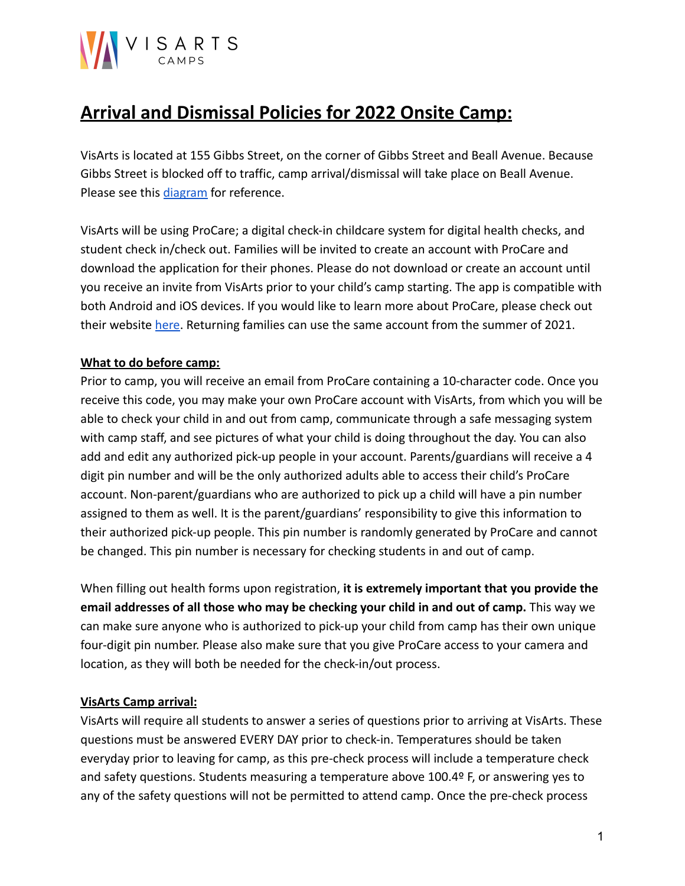# VISARTS

## **Arrival and Dismissal Policies for 2022 Onsite Camp:**

VisArts is located at 155 Gibbs Street, on the corner of Gibbs Street and Beall Avenue. Because Gibbs Street is blocked off to traffic, camp arrival/dismissal will take place on Beall Avenue. Please see this [diagram](https://www.visartscenter.org/x/lc-content/uploads/2021/03/map3.jpg) for reference.

VisArts will be using ProCare; a digital check-in childcare system for digital health checks, and student check in/check out. Families will be invited to create an account with ProCare and download the application for their phones. Please do not download or create an account until you receive an invite from VisArts prior to your child's camp starting. The app is compatible with both Android and iOS devices. If you would like to learn more about ProCare, please check out their website [here.](https://www.procaresoftware.com/home/) Returning families can use the same account from the summer of 2021.

### **What to do before camp:**

Prior to camp, you will receive an email from ProCare containing a 10-character code. Once you receive this code, you may make your own ProCare account with VisArts, from which you will be able to check your child in and out from camp, communicate through a safe messaging system with camp staff, and see pictures of what your child is doing throughout the day. You can also add and edit any authorized pick-up people in your account. Parents/guardians will receive a 4 digit pin number and will be the only authorized adults able to access their child's ProCare account. Non-parent/guardians who are authorized to pick up a child will have a pin number assigned to them as well. It is the parent/guardians' responsibility to give this information to their authorized pick-up people. This pin number is randomly generated by ProCare and cannot be changed. This pin number is necessary for checking students in and out of camp.

When filling out health forms upon registration, **it is extremely important that you provide the email addresses of all those who may be checking your child in and out of camp.** This way we can make sure anyone who is authorized to pick-up your child from camp has their own unique four-digit pin number. Please also make sure that you give ProCare access to your camera and location, as they will both be needed for the check-in/out process.

### **VisArts Camp arrival:**

VisArts will require all students to answer a series of questions prior to arriving at VisArts. These questions must be answered EVERY DAY prior to check-in. Temperatures should be taken everyday prior to leaving for camp, as this pre-check process will include a temperature check and safety questions. Students measuring a temperature above 100.4º F, or answering yes to any of the safety questions will not be permitted to attend camp. Once the pre-check process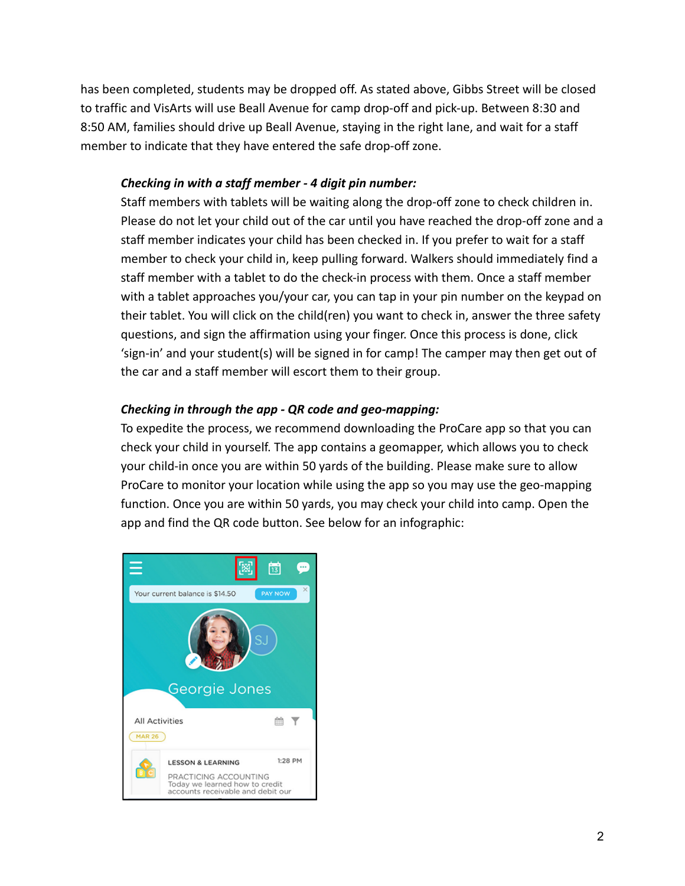has been completed, students may be dropped off. As stated above, Gibbs Street will be closed to traffic and VisArts will use Beall Avenue for camp drop-off and pick-up. Between 8:30 and 8:50 AM, families should drive up Beall Avenue, staying in the right lane, and wait for a staff member to indicate that they have entered the safe drop-off zone.

#### *Checking in with a staff member - 4 digit pin number:*

Staff members with tablets will be waiting along the drop-off zone to check children in. Please do not let your child out of the car until you have reached the drop-off zone and a staff member indicates your child has been checked in. If you prefer to wait for a staff member to check your child in, keep pulling forward. Walkers should immediately find a staff member with a tablet to do the check-in process with them. Once a staff member with a tablet approaches you/your car, you can tap in your pin number on the keypad on their tablet. You will click on the child(ren) you want to check in, answer the three safety questions, and sign the affirmation using your finger. Once this process is done, click 'sign-in' and your student(s) will be signed in for camp! The camper may then get out of the car and a staff member will escort them to their group.

### *Checking in through the app - QR code and geo-mapping:*

To expedite the process, we recommend downloading the ProCare app so that you can check your child in yourself. The app contains a geomapper, which allows you to check your child-in once you are within 50 yards of the building. Please make sure to allow ProCare to monitor your location while using the app so you may use the geo-mapping function. Once you are within 50 yards, you may check your child into camp. Open the app and find the QR code button. See below for an infographic:

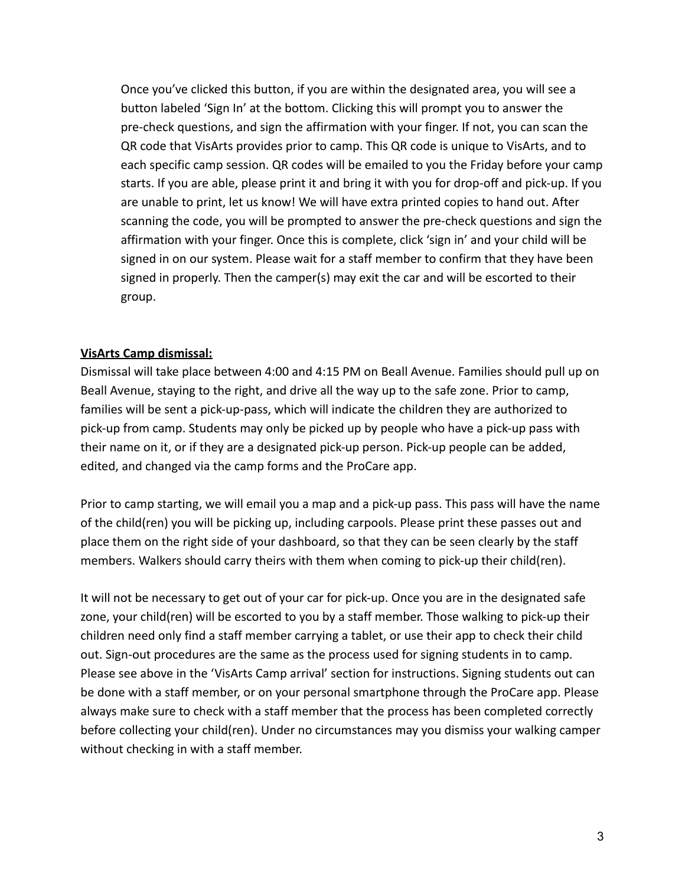Once you've clicked this button, if you are within the designated area, you will see a button labeled 'Sign In' at the bottom. Clicking this will prompt you to answer the pre-check questions, and sign the affirmation with your finger. If not, you can scan the QR code that VisArts provides prior to camp. This QR code is unique to VisArts, and to each specific camp session. QR codes will be emailed to you the Friday before your camp starts. If you are able, please print it and bring it with you for drop-off and pick-up. If you are unable to print, let us know! We will have extra printed copies to hand out. After scanning the code, you will be prompted to answer the pre-check questions and sign the affirmation with your finger. Once this is complete, click 'sign in' and your child will be signed in on our system. Please wait for a staff member to confirm that they have been signed in properly. Then the camper(s) may exit the car and will be escorted to their group.

### **VisArts Camp dismissal:**

Dismissal will take place between 4:00 and 4:15 PM on Beall Avenue. Families should pull up on Beall Avenue, staying to the right, and drive all the way up to the safe zone. Prior to camp, families will be sent a pick-up-pass, which will indicate the children they are authorized to pick-up from camp. Students may only be picked up by people who have a pick-up pass with their name on it, or if they are a designated pick-up person. Pick-up people can be added, edited, and changed via the camp forms and the ProCare app.

Prior to camp starting, we will email you a map and a pick-up pass. This pass will have the name of the child(ren) you will be picking up, including carpools. Please print these passes out and place them on the right side of your dashboard, so that they can be seen clearly by the staff members. Walkers should carry theirs with them when coming to pick-up their child(ren).

It will not be necessary to get out of your car for pick-up. Once you are in the designated safe zone, your child(ren) will be escorted to you by a staff member. Those walking to pick-up their children need only find a staff member carrying a tablet, or use their app to check their child out. Sign-out procedures are the same as the process used for signing students in to camp. Please see above in the 'VisArts Camp arrival' section for instructions. Signing students out can be done with a staff member, or on your personal smartphone through the ProCare app. Please always make sure to check with a staff member that the process has been completed correctly before collecting your child(ren). Under no circumstances may you dismiss your walking camper without checking in with a staff member.